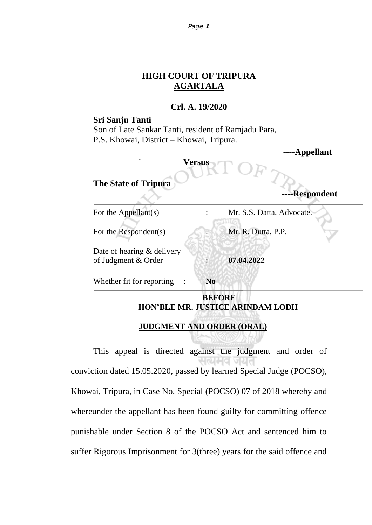#### *Page 1*

# **HIGH COURT OF TRIPURA AGARTALA**

## **Crl. A. 19/2020**

### **Sri Sanju Tanti**

Son of Late Sankar Tanti, resident of Ramjadu Para, P.S. Khowai, District – Khowai, Tripura.

| ↖<br><b>The State of Tripura</b>                  | <b>Versus</b>  | -r r ·<br>-Respondent     |
|---------------------------------------------------|----------------|---------------------------|
| For the Appellant $(s)$                           |                | Mr. S.S. Datta, Advocate. |
| For the Respondent(s)                             |                | Mr. R. Dutta, P.P.        |
| Date of hearing & delivery<br>of Judgment & Order |                | 07.04.2022                |
| Whether fit for reporting                         | N <sub>0</sub> |                           |
|                                                   | <b>BEFORE</b>  |                           |

**----Appellant**

# **HON'BLE MR. JUSTICE ARINDAM LODH**

# **JUDGMENT AND ORDER (ORAL)**

This appeal is directed against the judgment and order of सत्यमव जयत conviction dated 15.05.2020, passed by learned Special Judge (POCSO), Khowai, Tripura, in Case No. Special (POCSO) 07 of 2018 whereby and whereunder the appellant has been found guilty for committing offence punishable under Section 8 of the POCSO Act and sentenced him to suffer Rigorous Imprisonment for 3(three) years for the said offence and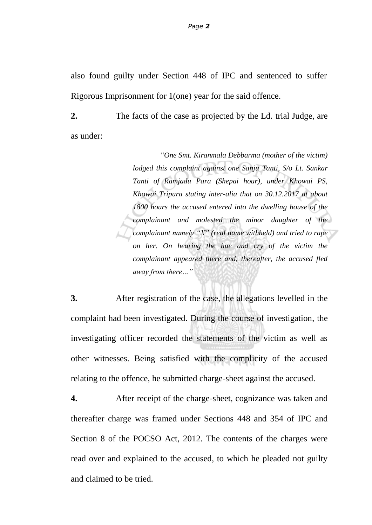also found guilty under Section 448 of IPC and sentenced to suffer Rigorous Imprisonment for 1(one) year for the said offence.

**2.** The facts of the case as projected by the Ld. trial Judge, are as under:

> "*One Smt. Kiranmala Debbarma (mother of the victim) lodged this complaint against one Sanju Tanti, S/o Lt. Sankar Tanti of Ramjadu Para (Shepai hour), under Khowai PS, Khowai Tripura stating inter-alia that on 30.12.2017 at about 1800 hours the accused entered into the dwelling house of the complainant and molested the minor daughter of the complainant namely "X" (real name withheld) and tried to rape on her. On hearing the hue and cry of the victim the complainant appeared there and, thereafter, the accused fled away from there…"*

**3.** After registration of the case, the allegations levelled in the complaint had been investigated. During the course of investigation, the investigating officer recorded the statements of the victim as well as other witnesses. Being satisfied with the complicity of the accused relating to the offence, he submitted charge-sheet against the accused.

**4.** After receipt of the charge-sheet, cognizance was taken and thereafter charge was framed under Sections 448 and 354 of IPC and Section 8 of the POCSO Act, 2012. The contents of the charges were read over and explained to the accused, to which he pleaded not guilty and claimed to be tried.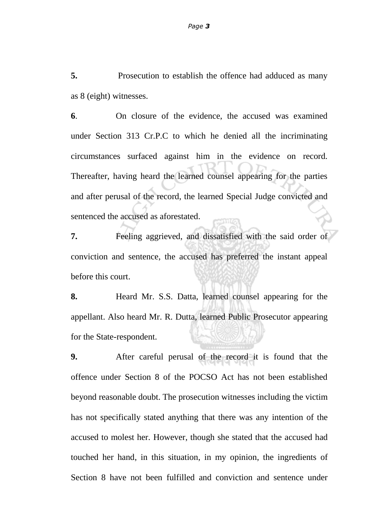**5.** Prosecution to establish the offence had adduced as many as 8 (eight) witnesses.

**6**. On closure of the evidence, the accused was examined under Section 313 Cr.P.C to which he denied all the incriminating circumstances surfaced against him in the evidence on record. Thereafter, having heard the learned counsel appearing for the parties and after perusal of the record, the learned Special Judge convicted and sentenced the accused as aforestated.

**7.** Feeling aggrieved, and dissatisfied with the said order of conviction and sentence, the accused has preferred the instant appeal before this court.

**8.** Heard Mr. S.S. Datta, learned counsel appearing for the appellant. Also heard Mr. R. Dutta, learned Public Prosecutor appearing for the State-respondent.

**9.** After careful perusal of the record it is found that the offence under Section 8 of the POCSO Act has not been established beyond reasonable doubt. The prosecution witnesses including the victim has not specifically stated anything that there was any intention of the accused to molest her. However, though she stated that the accused had touched her hand, in this situation, in my opinion, the ingredients of Section 8 have not been fulfilled and conviction and sentence under